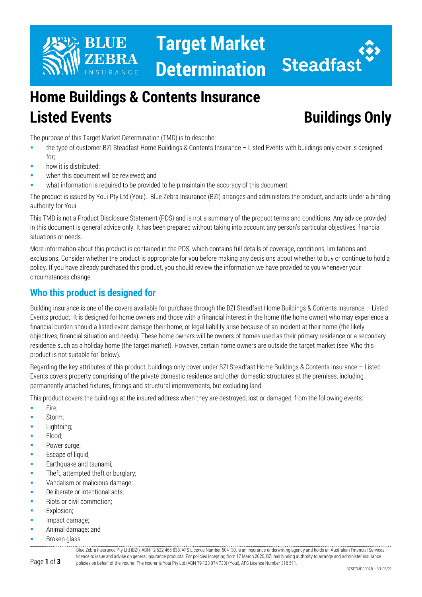



# **Home Buildings & Contents Insurance Listed Events Buildings Only**

The purpose of this Target Market Determination (TMD) is to describe:

- the type of customer BZI Steadfast Home Buildings & Contents Insurance Listed Events with buildings only cover is designed for;
- how it is distributed;
- when this document will be reviewed; and
- what information is required to be provided to help maintain the accuracy of this document.

The product is issued by Youi Pty Ltd (Youi). Blue Zebra Insurance (BZI) arranges and administers the product, and acts under a binding authority for Youi.

This TMD is not a Product Disclosure Statement (PDS) and is not a summary of the product terms and conditions. Any advice provided in this document is general advice only. It has been prepared without taking into account any person's particular objectives, financial situations or needs.

More information about this product is contained in the PDS, which contains full details of coverage, conditions, limitations and exclusions. Consider whether the product is appropriate for you before making any decisions about whether to buy or continue to hold a policy. If you have already purchased this product, you should review the information we have provided to you whenever your circumstances change.

# **Who this product is designed for**

Building insurance is one of the covers available for purchase through the BZI Steadfast Home Buildings & Contents Insurance – Listed Events product. It is designed for home owners and those with a financial interest in the home (the home owner) who may experience a financial burden should a listed event damage their home, or legal liability arise because of an incident at their home (the likely objectives, financial situation and needs). These home owners will be owners of homes used as their primary residence or a secondary residence such as a holiday home (the target market). However, certain home owners are outside the target market (see 'Who this product is not suitable for' below).

Regarding the key attributes of this product, buildings only cover under BZI Steadfast Home Buildings & Contents Insurance – Listed Events covers property comprising of the private domestic residence and other domestic structures at the premises, including permanently attached fixtures, fittings and structural improvements, but excluding land.

This product covers the buildings at the insured address when they are destroyed, lost or damaged, from the following events:

- **Fire:**
- Storm;
- **Lightning**;
- Flood;
- Power surge;
- Escape of liquid;
- Earthquake and tsunami;
- Theft, attempted theft or burglary;
- **Vandalism or malicious damage;**
- Deliberate or intentional acts;
- Riots or civil commotion;
- Explosion;
- Impact damage;
- Animal damage; and
- Broken glass.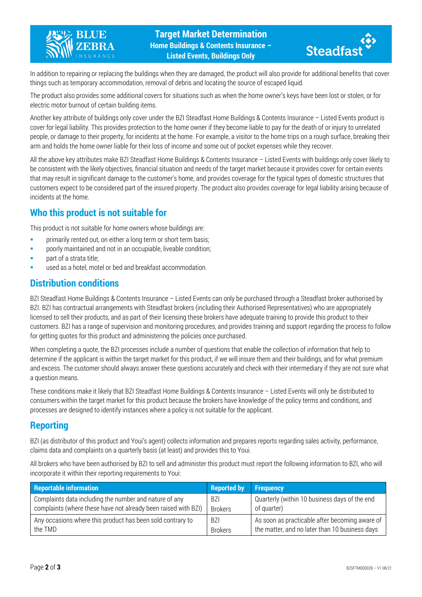



In addition to repairing or replacing the buildings when they are damaged, the product will also provide for additional benefits that cover things such as temporary accommodation, removal of debris and locating the source of escaped liquid.

The product also provides some additional covers for situations such as when the home owner's keys have been lost or stolen, or for electric motor burnout of certain building items.

Another key attribute of buildings only cover under the BZI Steadfast Home Buildings & Contents Insurance – Listed Events product is cover for legal liability. This provides protection to the home owner if they become liable to pay for the death of or injury to unrelated people, or damage to their property, for incidents at the home. For example, a visitor to the home trips on a rough surface, breaking their arm and holds the home owner liable for their loss of income and some out of pocket expenses while they recover.

All the above key attributes make BZI Steadfast Home Buildings & Contents Insurance – Listed Events with buildings only cover likely to be consistent with the likely objectives, financial situation and needs of the target market because it provides cover for certain events that may result in significant damage to the customer's home, and provides coverage for the typical types of domestic structures that customers expect to be considered part of the insured property. The product also provides coverage for legal liability arising because of incidents at the home.

## **Who this product is not suitable for**

This product is not suitable for home owners whose buildings are:

- **Primarily rented out, on either a long term or short term basis;**
- poorly maintained and not in an occupiable, liveable condition;
- part of a strata title;
- used as a hotel, motel or bed and breakfast accommodation.

## **Distribution conditions**

BZI Steadfast Home Buildings & Contents Insurance – Listed Events can only be purchased through a Steadfast broker authorised by BZI. BZI has contractual arrangements with Steadfast brokers (including their Authorised Representatives) who are appropriately licensed to sell their products, and as part of their licensing these brokers have adequate training to provide this product to their customers. BZI has a range of supervision and monitoring procedures, and provides training and support regarding the process to follow for getting quotes for this product and administering the policies once purchased.

When completing a quote, the BZI processes include a number of questions that enable the collection of information that help to determine if the applicant is within the target market for this product, if we will insure them and their buildings, and for what premium and excess. The customer should always answer these questions accurately and check with their intermediary if they are not sure what a question means.

These conditions make it likely that BZI Steadfast Home Buildings & Contents Insurance – Listed Events will only be distributed to consumers within the target market for this product because the brokers have knowledge of the policy terms and conditions, and processes are designed to identify instances where a policy is not suitable for the applicant.

#### **Reporting**

BZI (as distributor of this product and Youi's agent) collects information and prepares reports regarding sales activity, performance, claims data and complaints on a quarterly basis (at least) and provides this to Youi.

All brokers who have been authorised by BZI to sell and administer this product must report the following information to BZI, who will incorporate it within their reporting requirements to Youi:

| <b>Reportable information</b>                                  | <b>Reported by</b> | <b>Frequency</b>                               |
|----------------------------------------------------------------|--------------------|------------------------------------------------|
| Complaints data including the number and nature of any         | -BZI               | Quarterly (within 10 business days of the end  |
| complaints (where these have not already been raised with BZI) | <b>Brokers</b>     | of quarter)                                    |
| Any occasions where this product has been sold contrary to     | <b>BZI</b>         | As soon as practicable after becoming aware of |
| the TMD                                                        | <b>Brokers</b>     | the matter, and no later than 10 business days |